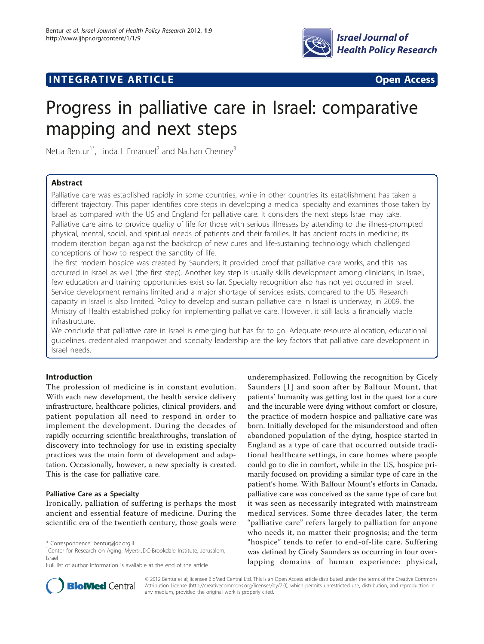

# **INTEGRATIVE ARTICLE Example 2018 CONSIDERED ACCESS**

# Progress in palliative care in Israel: comparative mapping and next steps

Netta Bentur<sup>1\*</sup>, Linda L Emanuel<sup>2</sup> and Nathan Cherney<sup>3</sup>

# Abstract

Palliative care was established rapidly in some countries, while in other countries its establishment has taken a different trajectory. This paper identifies core steps in developing a medical specialty and examines those taken by Israel as compared with the US and England for palliative care. It considers the next steps Israel may take. Palliative care aims to provide quality of life for those with serious illnesses by attending to the illness-prompted physical, mental, social, and spiritual needs of patients and their families. It has ancient roots in medicine; its modern iteration began against the backdrop of new cures and life-sustaining technology which challenged conceptions of how to respect the sanctity of life.

The first modern hospice was created by Saunders; it provided proof that palliative care works, and this has occurred in Israel as well (the first step). Another key step is usually skills development among clinicians; in Israel, few education and training opportunities exist so far. Specialty recognition also has not yet occurred in Israel. Service development remains limited and a major shortage of services exists, compared to the US. Research capacity in Israel is also limited. Policy to develop and sustain palliative care in Israel is underway; in 2009, the Ministry of Health established policy for implementing palliative care. However, it still lacks a financially viable infrastructure.

We conclude that palliative care in Israel is emerging but has far to go. Adequate resource allocation, educational guidelines, credentialed manpower and specialty leadership are the key factors that palliative care development in Israel needs.

# Introduction

The profession of medicine is in constant evolution. With each new development, the health service delivery infrastructure, healthcare policies, clinical providers, and patient population all need to respond in order to implement the development. During the decades of rapidly occurring scientific breakthroughs, translation of discovery into technology for use in existing specialty practices was the main form of development and adaptation. Occasionally, however, a new specialty is created. This is the case for palliative care.

# Palliative Care as a Specialty

Ironically, palliation of suffering is perhaps the most ancient and essential feature of medicine. During the scientific era of the twentieth century, those goals were

Full list of author information is available at the end of the article





© 2012 Bentur et al; licensee BioMed Central Ltd. This is an Open Access article distributed under the terms of the Creative Commons Attribution License [\(http://creativecommons.org/licenses/by/2.0](http://creativecommons.org/licenses/by/2.0)), which permits unrestricted use, distribution, and reproduction in any medium, provided the original work is properly cited.

<sup>\*</sup> Correspondence: [bentur@jdc.org.il](mailto:bentur@jdc.org.il)

<sup>&</sup>lt;sup>1</sup>Center for Research on Aging, Myers-JDC-Brookdale Institute, Jerusalem, Israel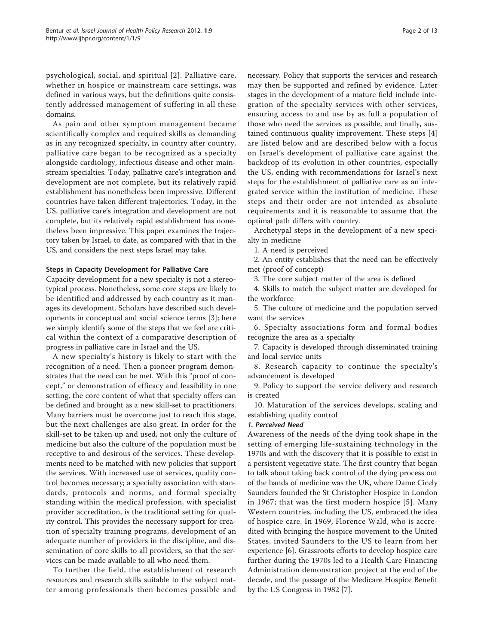psychological, social, and spiritual [[2](#page-11-0)]. Palliative care, whether in hospice or mainstream care settings, was defined in various ways, but the definitions quite consistently addressed management of suffering in all these domains.

As pain and other symptom management became scientifically complex and required skills as demanding as in any recognized specialty, in country after country, palliative care began to be recognized as a specialty alongside cardiology, infectious disease and other mainstream specialties. Today, palliative care's integration and development are not complete, but its relatively rapid establishment has nonetheless been impressive. Different countries have taken different trajectories. Today, in the US, palliative care's integration and development are not complete, but its relatively rapid establishment has nonetheless been impressive. This paper examines the trajectory taken by Israel, to date, as compared with that in the US, and considers the next steps Israel may take.

## Steps in Capacity Development for Palliative Care

Capacity development for a new specialty is not a stereotypical process. Nonetheless, some core steps are likely to be identified and addressed by each country as it manages its development. Scholars have described such developments in conceptual and social science terms [\[3](#page-11-0)]; here we simply identify some of the steps that we feel are critical within the context of a comparative description of progress in palliative care in Israel and the US.

A new specialty's history is likely to start with the recognition of a need. Then a pioneer program demonstrates that the need can be met. With this "proof of concept," or demonstration of efficacy and feasibility in one setting, the core content of what that specialty offers can be defined and brought as a new skill-set to practitioners. Many barriers must be overcome just to reach this stage, but the next challenges are also great. In order for the skill-set to be taken up and used, not only the culture of medicine but also the culture of the population must be receptive to and desirous of the services. These developments need to be matched with new policies that support the services. With increased use of services, quality control becomes necessary; a specialty association with standards, protocols and norms, and formal specialty standing within the medical profession, with specialist provider accreditation, is the traditional setting for quality control. This provides the necessary support for creation of specialty training programs, development of an adequate number of providers in the discipline, and dissemination of core skills to all providers, so that the services can be made available to all who need them.

To further the field, the establishment of research resources and research skills suitable to the subject matter among professionals then becomes possible and necessary. Policy that supports the services and research may then be supported and refined by evidence. Later stages in the development of a mature field include integration of the specialty services with other services, ensuring access to and use by as full a population of those who need the services as possible, and finally, sustained continuous quality improvement. These steps [\[4](#page-11-0)] are listed below and are described below with a focus on Israel's development of palliative care against the backdrop of its evolution in other countries, especially the US, ending with recommendations for Israel's next steps for the establishment of palliative care as an integrated service within the institution of medicine. These steps and their order are not intended as absolute requirements and it is reasonable to assume that the optimal path differs with country.

Archetypal steps in the development of a new specialty in medicine

1. A need is perceived

2. An entity establishes that the need can be effectively met (proof of concept)

3. The core subject matter of the area is defined

4. Skills to match the subject matter are developed for the workforce

5. The culture of medicine and the population served want the services

6. Specialty associations form and formal bodies recognize the area as a specialty

7. Capacity is developed through disseminated training and local service units

8. Research capacity to continue the specialty's advancement is developed

9. Policy to support the service delivery and research is created

10. Maturation of the services develops, scaling and establishing quality control

### 1. Perceived Need

Awareness of the needs of the dying took shape in the setting of emerging life-sustaining technology in the 1970s and with the discovery that it is possible to exist in a persistent vegetative state. The first country that began to talk about taking back control of the dying process out of the hands of medicine was the UK, where Dame Cicely Saunders founded the St Christopher Hospice in London in 1967; that was the first modern hospice [[5\]](#page-11-0). Many Western countries, including the US, embraced the idea of hospice care. In 1969, Florence Wald, who is accredited with bringing the hospice movement to the United States, invited Saunders to the US to learn from her experience [\[6](#page-11-0)]. Grassroots efforts to develop hospice care further during the 1970s led to a Health Care Financing Administration demonstration project at the end of the decade, and the passage of the Medicare Hospice Benefit by the US Congress in 1982 [\[7](#page-11-0)].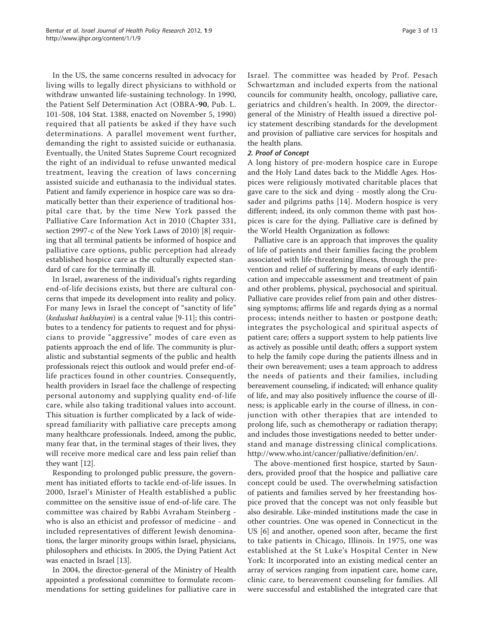In the US, the same concerns resulted in advocacy for living wills to legally direct physicians to withhold or withdraw unwanted life-sustaining technology. In 1990, the Patient Self Determination Act (OBRA-90, Pub. L. 101-508, 104 Stat. 1388, enacted on November 5, 1990) required that all patients be asked if they have such determinations. A parallel movement went further, demanding the right to assisted suicide or euthanasia. Eventually, the United States Supreme Court recognized the right of an individual to refuse unwanted medical treatment, leaving the creation of laws concerning assisted suicide and euthanasia to the individual states. Patient and family experience in hospice care was so dramatically better than their experience of traditional hospital care that, by the time New York passed the Palliative Care Information Act in 2010 (Chapter 331, section 2997-c of the New York Laws of 2010) [\[8](#page-11-0)] requiring that all terminal patients be informed of hospice and palliative care options, public perception had already established hospice care as the culturally expected standard of care for the terminally ill.

In Israel, awareness of the individual's rights regarding end-of-life decisions exists, but there are cultural concerns that impede its development into reality and policy. For many Jews in Israel the concept of "sanctity of life" (kedushat hakhayim) is a central value [[9-11](#page-11-0)]; this contributes to a tendency for patients to request and for physicians to provide "aggressive" modes of care even as patients approach the end of life. The community is pluralistic and substantial segments of the public and health professionals reject this outlook and would prefer end-oflife practices found in other countries. Consequently, health providers in Israel face the challenge of respecting personal autonomy and supplying quality end-of-life care, while also taking traditional values into account. This situation is further complicated by a lack of widespread familiarity with palliative care precepts among many healthcare professionals. Indeed, among the public, many fear that, in the terminal stages of their lives, they will receive more medical care and less pain relief than they want [\[12\]](#page-11-0).

Responding to prolonged public pressure, the government has initiated efforts to tackle end-of-life issues. In 2000, Israel's Minister of Health established a public committee on the sensitive issue of end-of-life care. The committee was chaired by Rabbi Avraham Steinberg who is also an ethicist and professor of medicine - and included representatives of different Jewish denominations, the larger minority groups within Israel, physicians, philosophers and ethicists. In 2005, the Dying Patient Act was enacted in Israel [[13\]](#page-11-0).

In 2004, the director-general of the Ministry of Health appointed a professional committee to formulate recommendations for setting guidelines for palliative care in Israel. The committee was headed by Prof. Pesach Schwartzman and included experts from the national councils for community health, oncology, palliative care, geriatrics and children's health. In 2009, the directorgeneral of the Ministry of Health issued a directive policy statement describing standards for the development and provision of palliative care services for hospitals and the health plans.

# 2. Proof of Concept

A long history of pre-modern hospice care in Europe and the Holy Land dates back to the Middle Ages. Hospices were religiously motivated charitable places that gave care to the sick and dying - mostly along the Crusader and pilgrims paths [[14](#page-11-0)]. Modern hospice is very different; indeed, its only common theme with past hospices is care for the dying. Palliative care is defined by the World Health Organization as follows:

Palliative care is an approach that improves the quality of life of patients and their families facing the problem associated with life-threatening illness, through the prevention and relief of suffering by means of early identification and impeccable assessment and treatment of pain and other problems, physical, psychosocial and spiritual. Palliative care provides relief from pain and other distressing symptoms; affirms life and regards dying as a normal process; intends neither to hasten or postpone death; integrates the psychological and spiritual aspects of patient care; offers a support system to help patients live as actively as possible until death; offers a support system to help the family cope during the patients illness and in their own bereavement; uses a team approach to address the needs of patients and their families, including bereavement counseling, if indicated; will enhance quality of life, and may also positively influence the course of illness; is applicable early in the course of illness, in conjunction with other therapies that are intended to prolong life, such as chemotherapy or radiation therapy; and includes those investigations needed to better understand and manage distressing clinical complications. [http://www.who.int/cancer/palliative/definition/en/.](http://www.who.int/cancer/palliative/definition/en/)

The above-mentioned first hospice, started by Saunders, provided proof that the hospice and palliative care concept could be used. The overwhelming satisfaction of patients and families served by her freestanding hospice proved that the concept was not only feasible but also desirable. Like-minded institutions made the case in other countries. One was opened in Connecticut in the US [[6](#page-11-0)] and another, opened soon after, became the first to take patients in Chicago, Illinois. In 1975, one was established at the St Luke's Hospital Center in New York: It incorporated into an existing medical center an array of services ranging from inpatient care, home care, clinic care, to bereavement counseling for families. All were successful and established the integrated care that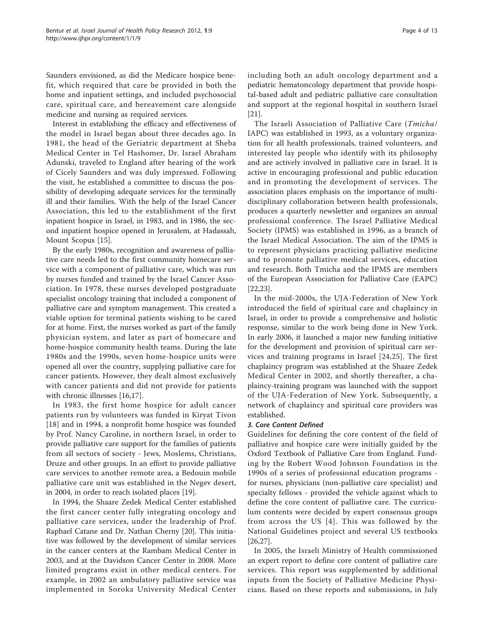Saunders envisioned, as did the Medicare hospice benefit, which required that care be provided in both the home and inpatient settings, and included psychosocial care, spiritual care, and bereavement care alongside medicine and nursing as required services.

Interest in establishing the efficacy and effectiveness of the model in Israel began about three decades ago. In 1981, the head of the Geriatric department at Sheba Medical Center in Tel Hashomer, Dr. Israel Abraham Adunski, traveled to England after hearing of the work of Cicely Saunders and was duly impressed. Following the visit, he established a committee to discuss the possibility of developing adequate services for the terminally ill and their families. With the help of the Israel Cancer Association, this led to the establishment of the first inpatient hospice in Israel, in 1983, and in 1986, the second inpatient hospice opened in Jerusalem, at Hadassah, Mount Scopus [[15\]](#page-11-0).

By the early 1980s, recognition and awareness of palliative care needs led to the first community homecare service with a component of palliative care, which was run by nurses funded and trained by the Israel Cancer Association. In 1978, these nurses developed postgraduate specialist oncology training that included a component of palliative care and symptom management. This created a viable option for terminal patients wishing to be cared for at home. First, the nurses worked as part of the family physician system, and later as part of homecare and home-hospice community health teams. During the late 1980s and the 1990s, seven home-hospice units were opened all over the country, supplying palliative care for cancer patients. However, they dealt almost exclusively with cancer patients and did not provide for patients with chronic illnesses [[16](#page-11-0),[17](#page-11-0)].

In 1983, the first home hospice for adult cancer patients run by volunteers was funded in Kiryat Tivon [[18\]](#page-11-0) and in 1994, a nonprofit home hospice was founded by Prof. Nancy Caroline, in northern Israel, in order to provide palliative care support for the families of patients from all sectors of society - Jews, Moslems, Christians, Druze and other groups. In an effort to provide palliative care services to another remote area, a Bedouin mobile palliative care unit was established in the Negev desert, in 2004, in order to reach isolated places [\[19\]](#page-11-0).

In 1994, the Shaare Zedek Medical Center established the first cancer center fully integrating oncology and palliative care services, under the leadership of Prof. Raphael Catane and Dr. Nathan Cherny [[20\]](#page-11-0). This initiative was followed by the development of similar services in the cancer centers at the Rambam Medical Center in 2003, and at the Davidson Cancer Center in 2008. More limited programs exist in other medical centers. For example, in 2002 an ambulatory palliative service was implemented in Soroka University Medical Center including both an adult oncology department and a pediatric hematoncology department that provide hospital-based adult and pediatric palliative care consultation and support at the regional hospital in southern Israel [[21\]](#page-11-0).

The Israeli Association of Palliative Care (Tmicha/ IAPC) was established in 1993, as a voluntary organization for all health professionals, trained volunteers, and interested lay people who identify with its philosophy and are actively involved in palliative care in Israel. It is active in encouraging professional and public education and in promoting the development of services. The association places emphasis on the importance of multidisciplinary collaboration between health professionals, produces a quarterly newsletter and organizes an annual professional conference. The Israel Palliative Medical Society (IPMS) was established in 1996, as a branch of the Israel Medical Association. The aim of the IPMS is to represent physicians practicing palliative medicine and to promote palliative medical services, education and research. Both Tmicha and the IPMS are members of the European Association for Palliative Care (EAPC) [[22,23\]](#page-11-0).

In the mid-2000s, the UJA-Federation of New York introduced the field of spiritual care and chaplaincy in Israel, in order to provide a comprehensive and holistic response, similar to the work being done in New York. In early 2006, it launched a major new funding initiative for the development and provision of spiritual care services and training programs in Israel [[24,25](#page-11-0)]. The first chaplaincy program was established at the Shaare Zedek Medical Center in 2002, and shortly thereafter, a chaplaincy-training program was launched with the support of the UJA-Federation of New York. Subsequently, a network of chaplaincy and spiritual care providers was established.

### 3. Core Content Defined

Guidelines for defining the core content of the field of palliative and hospice care were initially guided by the Oxford Textbook of Palliative Care from England. Funding by the Robert Wood Johnson Foundation in the 1990s of a series of professional education programs for nurses, physicians (non-palliative care specialist) and specialty fellows - provided the vehicle against which to define the core content of palliative care. The curriculum contents were decided by expert consensus groups from across the US [[4\]](#page-11-0). This was followed by the National Guidelines project and several US textbooks [[26,27\]](#page-11-0).

In 2005, the Israeli Ministry of Health commissioned an expert report to define core content of palliative care services. This report was supplemented by additional inputs from the Society of Palliative Medicine Physicians. Based on these reports and submissions, in July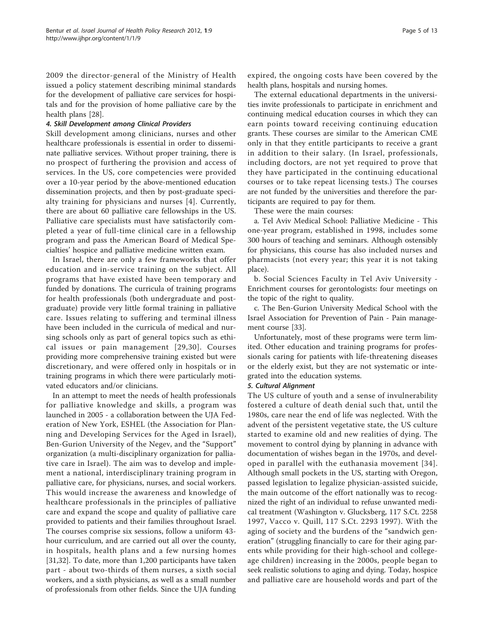2009 the director-general of the Ministry of Health issued a policy statement describing minimal standards for the development of palliative care services for hospitals and for the provision of home palliative care by the health plans [[28](#page-11-0)].

# 4. Skill Development among Clinical Providers

Skill development among clinicians, nurses and other healthcare professionals is essential in order to disseminate palliative services. Without proper training, there is no prospect of furthering the provision and access of services. In the US, core competencies were provided over a 10-year period by the above-mentioned education dissemination projects, and then by post-graduate specialty training for physicians and nurses [[4](#page-11-0)]. Currently, there are about 60 palliative care fellowships in the US. Palliative care specialists must have satisfactorily completed a year of full-time clinical care in a fellowship program and pass the American Board of Medical Specialties' hospice and palliative medicine written exam.

In Israel, there are only a few frameworks that offer education and in-service training on the subject. All programs that have existed have been temporary and funded by donations. The curricula of training programs for health professionals (both undergraduate and postgraduate) provide very little formal training in palliative care. Issues relating to suffering and terminal illness have been included in the curricula of medical and nursing schools only as part of general topics such as ethical issues or pain management [[29](#page-11-0),[30](#page-11-0)]. Courses providing more comprehensive training existed but were discretionary, and were offered only in hospitals or in training programs in which there were particularly motivated educators and/or clinicians.

In an attempt to meet the needs of health professionals for palliative knowledge and skills, a program was launched in 2005 - a collaboration between the UJA Federation of New York, ESHEL (the Association for Planning and Developing Services for the Aged in Israel), Ben-Gurion University of the Negev, and the "Support" organization (a multi-disciplinary organization for palliative care in Israel). The aim was to develop and implement a national, interdisciplinary training program in palliative care, for physicians, nurses, and social workers. This would increase the awareness and knowledge of healthcare professionals in the principles of palliative care and expand the scope and quality of palliative care provided to patients and their families throughout Israel. The courses comprise six sessions, follow a uniform 43 hour curriculum, and are carried out all over the county, in hospitals, health plans and a few nursing homes [[31,32\]](#page-11-0). To date, more than 1,200 participants have taken part - about two-thirds of them nurses, a sixth social workers, and a sixth physicians, as well as a small number of professionals from other fields. Since the UJA funding

expired, the ongoing costs have been covered by the health plans, hospitals and nursing homes.

The external educational departments in the universities invite professionals to participate in enrichment and continuing medical education courses in which they can earn points toward receiving continuing education grants. These courses are similar to the American CME only in that they entitle participants to receive a grant in addition to their salary. (In Israel, professionals, including doctors, are not yet required to prove that they have participated in the continuing educational courses or to take repeat licensing tests.) The courses are not funded by the universities and therefore the participants are required to pay for them.

These were the main courses:

a. Tel Aviv Medical School: Palliative Medicine - This one-year program, established in 1998, includes some 300 hours of teaching and seminars. Although ostensibly for physicians, this course has also included nurses and pharmacists (not every year; this year it is not taking place).

b. Social Sciences Faculty in Tel Aviv University - Enrichment courses for gerontologists: four meetings on the topic of the right to quality.

c. The Ben-Gurion University Medical School with the Israel Association for Prevention of Pain - Pain management course [[33\]](#page-11-0).

Unfortunately, most of these programs were term limited. Other education and training programs for professionals caring for patients with life-threatening diseases or the elderly exist, but they are not systematic or integrated into the education systems.

# 5. Cultural Alignment

The US culture of youth and a sense of invulnerability fostered a culture of death denial such that, until the 1980s, care near the end of life was neglected. With the advent of the persistent vegetative state, the US culture started to examine old and new realities of dying. The movement to control dying by planning in advance with documentation of wishes began in the 1970s, and developed in parallel with the euthanasia movement [[34\]](#page-11-0). Although small pockets in the US, starting with Oregon, passed legislation to legalize physician-assisted suicide, the main outcome of the effort nationally was to recognized the right of an individual to refuse unwanted medical treatment (Washington v. Glucksberg, 117 S.Ct. 2258 1997, Vacco v. Quill, 117 S.Ct. 2293 1997). With the aging of society and the burdens of the "sandwich generation" (struggling financially to care for their aging parents while providing for their high-school and collegeage children) increasing in the 2000s, people began to seek realistic solutions to aging and dying. Today, hospice and palliative care are household words and part of the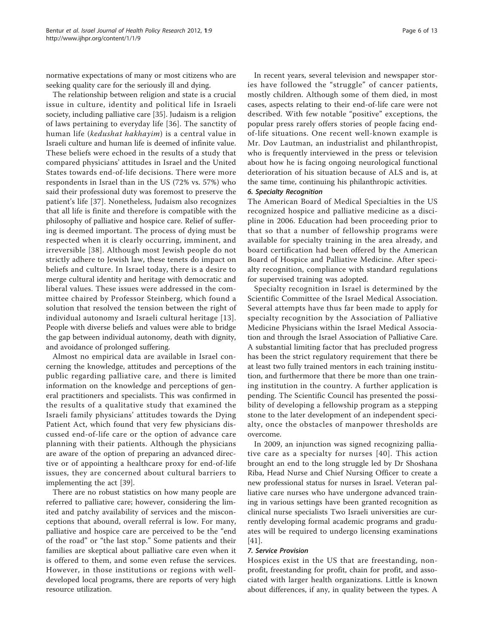normative expectations of many or most citizens who are seeking quality care for the seriously ill and dying.

The relationship between religion and state is a crucial issue in culture, identity and political life in Israeli society, including palliative care [\[35\]](#page-11-0). Judaism is a religion of laws pertaining to everyday life [[36\]](#page-11-0). The sanctity of human life (kedushat hakhayim) is a central value in Israeli culture and human life is deemed of infinite value. These beliefs were echoed in the results of a study that compared physicians' attitudes in Israel and the United States towards end-of-life decisions. There were more respondents in Israel than in the US (72% vs. 57%) who said their professional duty was foremost to preserve the patient's life [[37\]](#page-11-0). Nonetheless, Judaism also recognizes that all life is finite and therefore is compatible with the philosophy of palliative and hospice care. Relief of suffering is deemed important. The process of dying must be respected when it is clearly occurring, imminent, and irreversible [[38](#page-11-0)]. Although most Jewish people do not strictly adhere to Jewish law, these tenets do impact on beliefs and culture. In Israel today, there is a desire to merge cultural identity and heritage with democratic and liberal values. These issues were addressed in the committee chaired by Professor Steinberg, which found a solution that resolved the tension between the right of individual autonomy and Israeli cultural heritage [[13](#page-11-0)]. People with diverse beliefs and values were able to bridge the gap between individual autonomy, death with dignity, and avoidance of prolonged suffering.

Almost no empirical data are available in Israel concerning the knowledge, attitudes and perceptions of the public regarding palliative care, and there is limited information on the knowledge and perceptions of general practitioners and specialists. This was confirmed in the results of a qualitative study that examined the Israeli family physicians' attitudes towards the Dying Patient Act, which found that very few physicians discussed end-of-life care or the option of advance care planning with their patients. Although the physicians are aware of the option of preparing an advanced directive or of appointing a healthcare proxy for end-of-life issues, they are concerned about cultural barriers to implementing the act [[39](#page-11-0)].

There are no robust statistics on how many people are referred to palliative care; however, considering the limited and patchy availability of services and the misconceptions that abound, overall referral is low. For many, palliative and hospice care are perceived to be the "end of the road" or "the last stop." Some patients and their families are skeptical about palliative care even when it is offered to them, and some even refuse the services. However, in those institutions or regions with welldeveloped local programs, there are reports of very high resource utilization.

In recent years, several television and newspaper stories have followed the "struggle" of cancer patients, mostly children. Although some of them died, in most cases, aspects relating to their end-of-life care were not described. With few notable "positive" exceptions, the popular press rarely offers stories of people facing endof-life situations. One recent well-known example is Mr. Dov Lautman, an industrialist and philanthropist, who is frequently interviewed in the press or television about how he is facing ongoing neurological functional deterioration of his situation because of ALS and is, at the same time, continuing his philanthropic activities.

#### 6. Specialty Recognition

The American Board of Medical Specialties in the US recognized hospice and palliative medicine as a discipline in 2006. Education had been proceeding prior to that so that a number of fellowship programs were available for specialty training in the area already, and board certification had been offered by the American Board of Hospice and Palliative Medicine. After specialty recognition, compliance with standard regulations for supervised training was adopted.

Specialty recognition in Israel is determined by the Scientific Committee of the Israel Medical Association. Several attempts have thus far been made to apply for specialty recognition by the Association of Palliative Medicine Physicians within the Israel Medical Association and through the Israel Association of Palliative Care. A substantial limiting factor that has precluded progress has been the strict regulatory requirement that there be at least two fully trained mentors in each training institution, and furthermore that there be more than one training institution in the country. A further application is pending. The Scientific Council has presented the possibility of developing a fellowship program as a stepping stone to the later development of an independent specialty, once the obstacles of manpower thresholds are overcome.

In 2009, an injunction was signed recognizing palliative care as a specialty for nurses [[40](#page-11-0)]. This action brought an end to the long struggle led by Dr Shoshana Riba, Head Nurse and Chief Nursing Officer to create a new professional status for nurses in Israel. Veteran palliative care nurses who have undergone advanced training in various settings have been granted recognition as clinical nurse specialists Two Israeli universities are currently developing formal academic programs and graduates will be required to undergo licensing examinations [[41\]](#page-11-0).

### 7. Service Provision

Hospices exist in the US that are freestanding, nonprofit, freestanding for profit, chain for profit, and associated with larger health organizations. Little is known about differences, if any, in quality between the types. A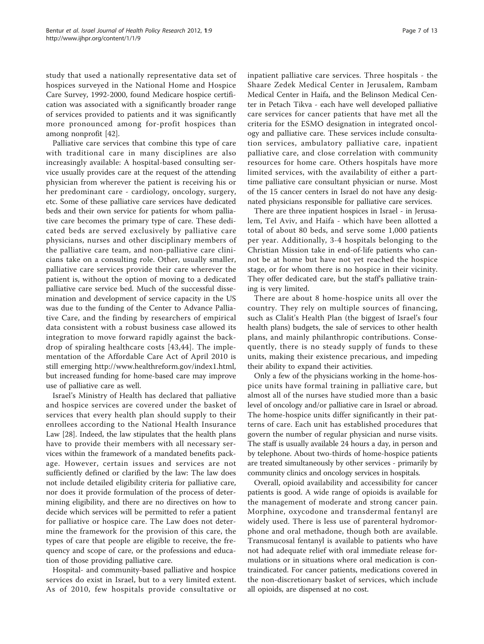study that used a nationally representative data set of hospices surveyed in the National Home and Hospice Care Survey, 1992-2000, found Medicare hospice certification was associated with a significantly broader range of services provided to patients and it was significantly more pronounced among for-profit hospices than among nonprofit [\[42](#page-11-0)].

Palliative care services that combine this type of care with traditional care in many disciplines are also increasingly available: A hospital-based consulting service usually provides care at the request of the attending physician from wherever the patient is receiving his or her predominant care - cardiology, oncology, surgery, etc. Some of these palliative care services have dedicated beds and their own service for patients for whom palliative care becomes the primary type of care. These dedicated beds are served exclusively by palliative care physicians, nurses and other disciplinary members of the palliative care team, and non-palliative care clinicians take on a consulting role. Other, usually smaller, palliative care services provide their care wherever the patient is, without the option of moving to a dedicated palliative care service bed. Much of the successful dissemination and development of service capacity in the US was due to the funding of the Center to Advance Palliative Care, and the finding by researchers of empirical data consistent with a robust business case allowed its integration to move forward rapidly against the backdrop of spiraling healthcare costs [[43](#page-11-0),[44\]](#page-11-0). The implementation of the Affordable Care Act of April 2010 is still emerging<http://www.healthreform.gov/index1.html>, but increased funding for home-based care may improve use of palliative care as well.

Israel's Ministry of Health has declared that palliative and hospice services are covered under the basket of services that every health plan should supply to their enrollees according to the National Health Insurance Law [[28\]](#page-11-0). Indeed, the law stipulates that the health plans have to provide their members with all necessary services within the framework of a mandated benefits package. However, certain issues and services are not sufficiently defined or clarified by the law: The law does not include detailed eligibility criteria for palliative care, nor does it provide formulation of the process of determining eligibility, and there are no directives on how to decide which services will be permitted to refer a patient for palliative or hospice care. The Law does not determine the framework for the provision of this care, the types of care that people are eligible to receive, the frequency and scope of care, or the professions and education of those providing palliative care.

Hospital- and community-based palliative and hospice services do exist in Israel, but to a very limited extent. As of 2010, few hospitals provide consultative or inpatient palliative care services. Three hospitals - the Shaare Zedek Medical Center in Jerusalem, Rambam Medical Center in Haifa, and the Belinson Medical Center in Petach Tikva - each have well developed palliative care services for cancer patients that have met all the criteria for the ESMO designation in integrated oncology and palliative care. These services include consultation services, ambulatory palliative care, inpatient palliative care, and close correlation with community resources for home care. Others hospitals have more limited services, with the availability of either a parttime palliative care consultant physician or nurse. Most of the 15 cancer centers in Israel do not have any designated physicians responsible for palliative care services.

There are three inpatient hospices in Israel - in Jerusalem, Tel Aviv, and Haifa - which have been allotted a total of about 80 beds, and serve some 1,000 patients per year. Additionally, 3-4 hospitals belonging to the Christian Mission take in end-of-life patients who cannot be at home but have not yet reached the hospice stage, or for whom there is no hospice in their vicinity. They offer dedicated care, but the staff's palliative training is very limited.

There are about 8 home-hospice units all over the country. They rely on multiple sources of financing, such as Clalit's Health Plan (the biggest of Israel's four health plans) budgets, the sale of services to other health plans, and mainly philanthropic contributions. Consequently, there is no steady supply of funds to these units, making their existence precarious, and impeding their ability to expand their activities.

Only a few of the physicians working in the home-hospice units have formal training in palliative care, but almost all of the nurses have studied more than a basic level of oncology and/or palliative care in Israel or abroad. The home-hospice units differ significantly in their patterns of care. Each unit has established procedures that govern the number of regular physician and nurse visits. The staff is usually available 24 hours a day, in person and by telephone. About two-thirds of home-hospice patients are treated simultaneously by other services - primarily by community clinics and oncology services in hospitals.

Overall, opioid availability and accessibility for cancer patients is good. A wide range of opioids is available for the management of moderate and strong cancer pain. Morphine, oxycodone and transdermal fentanyl are widely used. There is less use of parenteral hydromorphone and oral methadone, though both are available. Transmucosal fentanyl is available to patients who have not had adequate relief with oral immediate release formulations or in situations where oral medication is contraindicated. For cancer patients, medications covered in the non-discretionary basket of services, which include all opioids, are dispensed at no cost.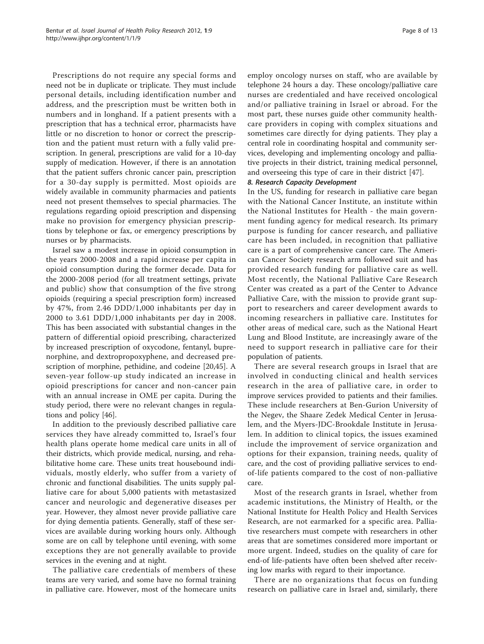Prescriptions do not require any special forms and need not be in duplicate or triplicate. They must include personal details, including identification number and address, and the prescription must be written both in numbers and in longhand. If a patient presents with a prescription that has a technical error, pharmacists have little or no discretion to honor or correct the prescription and the patient must return with a fully valid prescription. In general, prescriptions are valid for a 10-day supply of medication. However, if there is an annotation that the patient suffers chronic cancer pain, prescription for a 30-day supply is permitted. Most opioids are widely available in community pharmacies and patients need not present themselves to special pharmacies. The regulations regarding opioid prescription and dispensing make no provision for emergency physician prescriptions by telephone or fax, or emergency prescriptions by nurses or by pharmacists.

Israel saw a modest increase in opioid consumption in the years 2000-2008 and a rapid increase per capita in opioid consumption during the former decade. Data for the 2000-2008 period (for all treatment settings, private and public) show that consumption of the five strong opioids (requiring a special prescription form) increased by 47%, from 2.46 DDD/1,000 inhabitants per day in 2000 to 3.61 DDD/1,000 inhabitants per day in 2008. This has been associated with substantial changes in the pattern of differential opioid prescribing, characterized by increased prescription of oxycodone, fentanyl, buprenorphine, and dextropropoxyphene, and decreased prescription of morphine, pethidine, and codeine [\[20,45\]](#page-11-0). A seven-year follow-up study indicated an increase in opioid prescriptions for cancer and non-cancer pain with an annual increase in OME per capita. During the study period, there were no relevant changes in regulations and policy [[46](#page-11-0)].

In addition to the previously described palliative care services they have already committed to, Israel's four health plans operate home medical care units in all of their districts, which provide medical, nursing, and rehabilitative home care. These units treat housebound individuals, mostly elderly, who suffer from a variety of chronic and functional disabilities. The units supply palliative care for about 5,000 patients with metastasized cancer and neurologic and degenerative diseases per year. However, they almost never provide palliative care for dying dementia patients. Generally, staff of these services are available during working hours only. Although some are on call by telephone until evening, with some exceptions they are not generally available to provide services in the evening and at night.

The palliative care credentials of members of these teams are very varied, and some have no formal training in palliative care. However, most of the homecare units employ oncology nurses on staff, who are available by telephone 24 hours a day. These oncology/palliative care nurses are credentialed and have received oncological and/or palliative training in Israel or abroad. For the most part, these nurses guide other community healthcare providers in coping with complex situations and sometimes care directly for dying patients. They play a central role in coordinating hospital and community services, developing and implementing oncology and palliative projects in their district, training medical personnel, and overseeing this type of care in their district [[47](#page-12-0)].

# 8. Research Capacity Development

In the US, funding for research in palliative care began with the National Cancer Institute, an institute within the National Institutes for Health - the main government funding agency for medical research. Its primary purpose is funding for cancer research, and palliative care has been included, in recognition that palliative care is a part of comprehensive cancer care. The American Cancer Society research arm followed suit and has provided research funding for palliative care as well. Most recently, the National Palliative Care Research Center was created as a part of the Center to Advance Palliative Care, with the mission to provide grant support to researchers and career development awards to incoming researchers in palliative care. Institutes for other areas of medical care, such as the National Heart Lung and Blood Institute, are increasingly aware of the need to support research in palliative care for their population of patients.

There are several research groups in Israel that are involved in conducting clinical and health services research in the area of palliative care, in order to improve services provided to patients and their families. These include researchers at Ben-Gurion University of the Negev, the Shaare Zedek Medical Center in Jerusalem, and the Myers-JDC-Brookdale Institute in Jerusalem. In addition to clinical topics, the issues examined include the improvement of service organization and options for their expansion, training needs, quality of care, and the cost of providing palliative services to endof-life patients compared to the cost of non-palliative care.

Most of the research grants in Israel, whether from academic institutions, the Ministry of Health, or the National Institute for Health Policy and Health Services Research, are not earmarked for a specific area. Palliative researchers must compete with researchers in other areas that are sometimes considered more important or more urgent. Indeed, studies on the quality of care for end-of life-patients have often been shelved after receiving low marks with regard to their importance.

There are no organizations that focus on funding research on palliative care in Israel and, similarly, there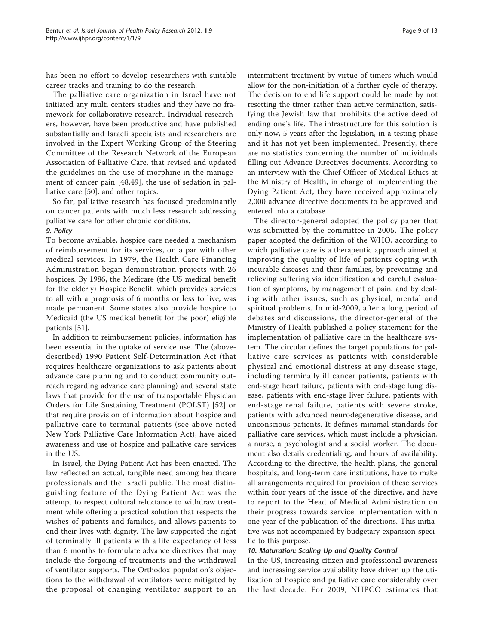has been no effort to develop researchers with suitable career tracks and training to do the research.

The palliative care organization in Israel have not initiated any multi centers studies and they have no framework for collaborative research. Individual researchers, however, have been productive and have published substantially and Israeli specialists and researchers are involved in the Expert Working Group of the Steering Committee of the Research Network of the European Association of Palliative Care, that revised and updated the guidelines on the use of morphine in the management of cancer pain [\[48](#page-12-0),[49\]](#page-12-0), the use of sedation in palliative care [\[50\]](#page-12-0), and other topics.

So far, palliative research has focused predominantly on cancer patients with much less research addressing palliative care for other chronic conditions.

### 9. Policy

To become available, hospice care needed a mechanism of reimbursement for its services, on a par with other medical services. In 1979, the Health Care Financing Administration began demonstration projects with 26 hospices. By 1986, the Medicare (the US medical benefit for the elderly) Hospice Benefit, which provides services to all with a prognosis of 6 months or less to live, was made permanent. Some states also provide hospice to Medicaid (the US medical benefit for the poor) eligible patients [\[51\]](#page-12-0).

In addition to reimbursement policies, information has been essential in the uptake of service use. The (abovedescribed) 1990 Patient Self-Determination Act (that requires healthcare organizations to ask patients about advance care planning and to conduct community outreach regarding advance care planning) and several state laws that provide for the use of transportable Physician Orders for Life Sustaining Treatment (POLST) [[52\]](#page-12-0) or that require provision of information about hospice and palliative care to terminal patients (see above-noted New York Palliative Care Information Act), have aided awareness and use of hospice and palliative care services in the US.

In Israel, the Dying Patient Act has been enacted. The law reflected an actual, tangible need among healthcare professionals and the Israeli public. The most distinguishing feature of the Dying Patient Act was the attempt to respect cultural reluctance to withdraw treatment while offering a practical solution that respects the wishes of patients and families, and allows patients to end their lives with dignity. The law supported the right of terminally ill patients with a life expectancy of less than 6 months to formulate advance directives that may include the forgoing of treatments and the withdrawal of ventilator supports. The Orthodox population's objections to the withdrawal of ventilators were mitigated by the proposal of changing ventilator support to an intermittent treatment by virtue of timers which would allow for the non-initiation of a further cycle of therapy. The decision to end life support could be made by not resetting the timer rather than active termination, satisfying the Jewish law that prohibits the active deed of ending one's life. The infrastructure for this solution is only now, 5 years after the legislation, in a testing phase and it has not yet been implemented. Presently, there are no statistics concerning the number of individuals filling out Advance Directives documents. According to an interview with the Chief Officer of Medical Ethics at the Ministry of Health, in charge of implementing the Dying Patient Act, they have received approximately 2,000 advance directive documents to be approved and entered into a database.

The director-general adopted the policy paper that was submitted by the committee in 2005. The policy paper adopted the definition of the WHO, according to which palliative care is a therapeutic approach aimed at improving the quality of life of patients coping with incurable diseases and their families, by preventing and relieving suffering via identification and careful evaluation of symptoms, by management of pain, and by dealing with other issues, such as physical, mental and spiritual problems. In mid-2009, after a long period of debates and discussions, the director-general of the Ministry of Health published a policy statement for the implementation of palliative care in the healthcare system. The circular defines the target populations for palliative care services as patients with considerable physical and emotional distress at any disease stage, including terminally ill cancer patients, patients with end-stage heart failure, patients with end-stage lung disease, patients with end-stage liver failure, patients with end-stage renal failure, patients with severe stroke, patients with advanced neurodegenerative disease, and unconscious patients. It defines minimal standards for palliative care services, which must include a physician, a nurse, a psychologist and a social worker. The document also details credentialing, and hours of availability. According to the directive, the health plans, the general hospitals, and long-term care institutions, have to make all arrangements required for provision of these services within four years of the issue of the directive, and have to report to the Head of Medical Administration on their progress towards service implementation within one year of the publication of the directions. This initiative was not accompanied by budgetary expansion specific to this purpose.

### 10. Maturation: Scaling Up and Quality Control

In the US, increasing citizen and professional awareness and increasing service availability have driven up the utilization of hospice and palliative care considerably over the last decade. For 2009, NHPCO estimates that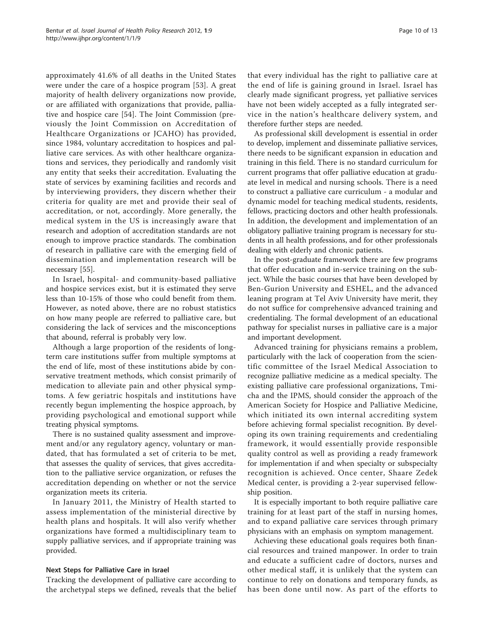approximately 41.6% of all deaths in the United States were under the care of a hospice program [[53\]](#page-12-0). A great majority of health delivery organizations now provide, or are affiliated with organizations that provide, palliative and hospice care [[54\]](#page-12-0). The Joint Commission (previously the Joint Commission on Accreditation of Healthcare Organizations or JCAHO) has provided, since 1984, voluntary accreditation to hospices and palliative care services. As with other healthcare organizations and services, they periodically and randomly visit any entity that seeks their accreditation. Evaluating the state of services by examining facilities and records and by interviewing providers, they discern whether their criteria for quality are met and provide their seal of accreditation, or not, accordingly. More generally, the medical system in the US is increasingly aware that research and adoption of accreditation standards are not enough to improve practice standards. The combination of research in palliative care with the emerging field of dissemination and implementation research will be necessary [[55](#page-12-0)].

In Israel, hospital- and community-based palliative and hospice services exist, but it is estimated they serve less than 10-15% of those who could benefit from them. However, as noted above, there are no robust statistics on how many people are referred to palliative care, but considering the lack of services and the misconceptions that abound, referral is probably very low.

Although a large proportion of the residents of longterm care institutions suffer from multiple symptoms at the end of life, most of these institutions abide by conservative treatment methods, which consist primarily of medication to alleviate pain and other physical symptoms. A few geriatric hospitals and institutions have recently begun implementing the hospice approach, by providing psychological and emotional support while treating physical symptoms.

There is no sustained quality assessment and improvement and/or any regulatory agency, voluntary or mandated, that has formulated a set of criteria to be met, that assesses the quality of services, that gives accreditation to the palliative service organization, or refuses the accreditation depending on whether or not the service organization meets its criteria.

In January 2011, the Ministry of Health started to assess implementation of the ministerial directive by health plans and hospitals. It will also verify whether organizations have formed a multidisciplinary team to supply palliative services, and if appropriate training was provided.

### Next Steps for Palliative Care in Israel

Tracking the development of palliative care according to the archetypal steps we defined, reveals that the belief

that every individual has the right to palliative care at the end of life is gaining ground in Israel. Israel has clearly made significant progress, yet palliative services have not been widely accepted as a fully integrated service in the nation's healthcare delivery system, and therefore further steps are needed.

As professional skill development is essential in order to develop, implement and disseminate palliative services, there needs to be significant expansion in education and training in this field. There is no standard curriculum for current programs that offer palliative education at graduate level in medical and nursing schools. There is a need to construct a palliative care curriculum - a modular and dynamic model for teaching medical students, residents, fellows, practicing doctors and other health professionals. In addition, the development and implementation of an obligatory palliative training program is necessary for students in all health professions, and for other professionals dealing with elderly and chronic patients.

In the post-graduate framework there are few programs that offer education and in-service training on the subject. While the basic courses that have been developed by Ben-Gurion University and ESHEL, and the advanced leaning program at Tel Aviv University have merit, they do not suffice for comprehensive advanced training and credentialing. The formal development of an educational pathway for specialist nurses in palliative care is a major and important development.

Advanced training for physicians remains a problem, particularly with the lack of cooperation from the scientific committee of the Israel Medical Association to recognize palliative medicine as a medical specialty. The existing palliative care professional organizations, Tmicha and the IPMS, should consider the approach of the American Society for Hospice and Palliative Medicine, which initiated its own internal accrediting system before achieving formal specialist recognition. By developing its own training requirements and credentialing framework, it would essentially provide responsible quality control as well as providing a ready framework for implementation if and when specialty or subspecialty recognition is achieved. Once center, Shaare Zedek Medical center, is providing a 2-year supervised fellowship position.

It is especially important to both require palliative care training for at least part of the staff in nursing homes, and to expand palliative care services through primary physicians with an emphasis on symptom management.

Achieving these educational goals requires both financial resources and trained manpower. In order to train and educate a sufficient cadre of doctors, nurses and other medical staff, it is unlikely that the system can continue to rely on donations and temporary funds, as has been done until now. As part of the efforts to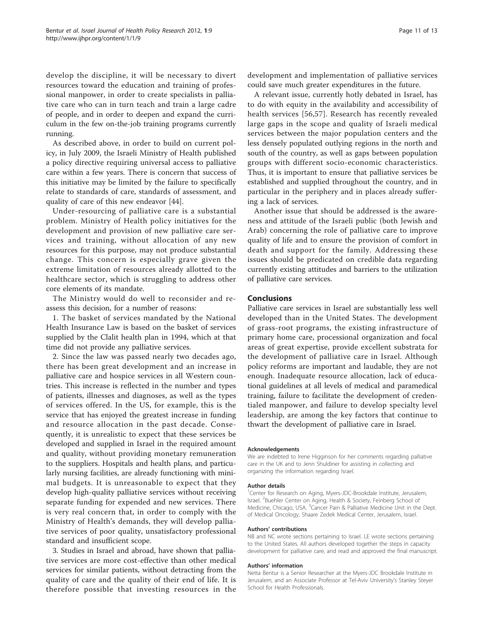develop the discipline, it will be necessary to divert resources toward the education and training of professional manpower, in order to create specialists in palliative care who can in turn teach and train a large cadre of people, and in order to deepen and expand the curriculum in the few on-the-job training programs currently running.

As described above, in order to build on current policy, in July 2009, the Israeli Ministry of Health published a policy directive requiring universal access to palliative care within a few years. There is concern that success of this initiative may be limited by the failure to specifically relate to standards of care, standards of assessment, and quality of care of this new endeavor [[44\]](#page-11-0).

Under-resourcing of palliative care is a substantial problem. Ministry of Health policy initiatives for the development and provision of new palliative care services and training, without allocation of any new resources for this purpose, may not produce substantial change. This concern is especially grave given the extreme limitation of resources already allotted to the healthcare sector, which is struggling to address other core elements of its mandate.

The Ministry would do well to reconsider and reassess this decision, for a number of reasons:

1. The basket of services mandated by the National Health Insurance Law is based on the basket of services supplied by the Clalit health plan in 1994, which at that time did not provide any palliative services.

2. Since the law was passed nearly two decades ago, there has been great development and an increase in palliative care and hospice services in all Western countries. This increase is reflected in the number and types of patients, illnesses and diagnoses, as well as the types of services offered. In the US, for example, this is the service that has enjoyed the greatest increase in funding and resource allocation in the past decade. Consequently, it is unrealistic to expect that these services be developed and supplied in Israel in the required amount and quality, without providing monetary remuneration to the suppliers. Hospitals and health plans, and particularly nursing facilities, are already functioning with minimal budgets. It is unreasonable to expect that they develop high-quality palliative services without receiving separate funding for expended and new services. There is very real concern that, in order to comply with the Ministry of Health's demands, they will develop palliative services of poor quality, unsatisfactory professional standard and insufficient scope.

3. Studies in Israel and abroad, have shown that palliative services are more cost-effective than other medical services for similar patients, without detracting from the quality of care and the quality of their end of life. It is therefore possible that investing resources in the

development and implementation of palliative services could save much greater expenditures in the future.

A relevant issue, currently hotly debated in Israel, has to do with equity in the availability and accessibility of health services [[56,57\]](#page-12-0). Research has recently revealed large gaps in the scope and quality of Israeli medical services between the major population centers and the less densely populated outlying regions in the north and south of the country, as well as gaps between population groups with different socio-economic characteristics. Thus, it is important to ensure that palliative services be established and supplied throughout the country, and in particular in the periphery and in places already suffering a lack of services.

Another issue that should be addressed is the awareness and attitude of the Israeli public (both Jewish and Arab) concerning the role of palliative care to improve quality of life and to ensure the provision of comfort in death and support for the family. Addressing these issues should be predicated on credible data regarding currently existing attitudes and barriers to the utilization of palliative care services.

#### Conclusions

Palliative care services in Israel are substantially less well developed than in the United States. The development of grass-root programs, the existing infrastructure of primary home care, processional organization and focal areas of great expertise, provide excellent substrata for the development of palliative care in Israel. Although policy reforms are important and laudable, they are not enough. Inadequate resource allocation, lack of educational guidelines at all levels of medical and paramedical training, failure to facilitate the development of credentialed manpower, and failure to develop specialty level leadership, are among the key factors that continue to thwart the development of palliative care in Israel.

#### Acknowledgements

We are indebted to Irene Higginson for her comments regarding palliative care in the UK and to Jenn Shuldiner for assisting in collecting and organizing the information regarding Israel.

#### Author details

<sup>1</sup> Center for Research on Aging, Myers-JDC-Brookdale Institute, Jerusalem, Israel. <sup>2</sup>Buehler Center on Aging, Health & Society, Feinberg School of Medicine, Chicago, USA. <sup>3</sup> Cancer Pain & Palliative Medicine Unit in the Dept of Medical Oncology, Shaare Zedek Medical Center, Jerusalem, Israel.

#### Authors' contributions

NB and NC wrote sections pertaining to Israel. LE wrote sections pertaining to the United States. All authors developed together the steps in capacity development for palliative care, and read and approved the final manuscript.

#### Authors' information

Netta Bentur is a Senior Researcher at the Myers-JDC Brookdale Institute in Jerusalem, and an Associate Professor at Tel-Aviv University's Stanley Steyer School for Health Professionals.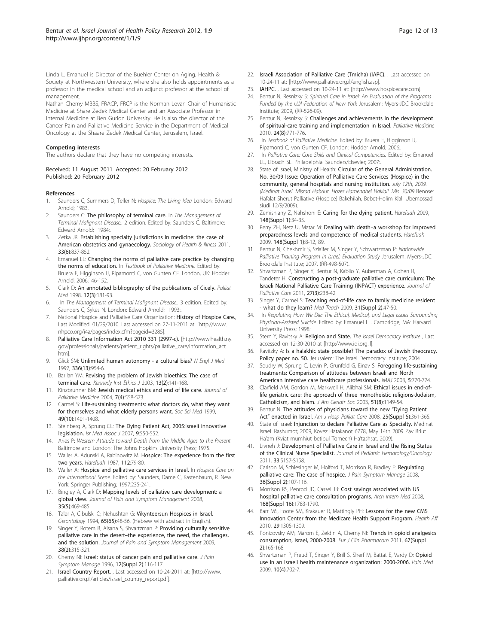<span id="page-11-0"></span>Linda L. Emanuel is Director of the Buehler Center on Aging, Health & Society at Northwestern University, where she also holds appointments as a professor in the medical school and an adjunct professor at the school of management.

Nathan Cherny MBBS, FRACP, FRCP is the Norman Levan Chair of Humanistic Medicine at Share Zedek Medical Center and an Associate Professor in Internal Medicine at Ben Gurion University. He is also the director of the Cancer Pain and Palliative Medicine Service in the Department of Medical Oncology at the Shaare Zedek Medical Center, Jerusalem, Israel.

#### Competing interests

The authors declare that they have no competing interests.

#### Received: 11 August 2011 Accepted: 20 February 2012 Published: 20 February 2012

#### References

- Saunders C, Summers D, Teller N: Hospice: The Living Idea London: Edward Arnold; 1983.
- 2. Saunders C: The philosophy of terminal care. In The Management of Terminal Malignant Disease.. 2 edition. Edited by: Saunders C. Baltimore: Edward Arnold; 1984:.
- 3. Zetka JR: [Establishing specialty jurisdictions in medicine: the case of](http://www.ncbi.nlm.nih.gov/pubmed/22357772?dopt=Abstract) [American obstetrics and gynaecology.](http://www.ncbi.nlm.nih.gov/pubmed/22357772?dopt=Abstract) Sociology of Health & Illness 2011, 33(6):837-852.
- 4. Emanuel LL: Changing the norms of palliative care practice by changing the norms of education. In Textbook of Palliative Medicine. Edited by: Bruera E, Higginson IJ, Ripamonti C, von Gunten CF. London, UK: Hodder Arnold; 2006:146-152.
- Clark D: [An annotated bibliography of the publications of Cicely.](http://www.ncbi.nlm.nih.gov/pubmed/9743837?dopt=Abstract) Palliat Med 1998, 12(3):181-93.
- 6. In The Management of Terminal Malignant Disease.. 3 edition. Edited by: Saunders C, Sykes N. London: Edward Arnold; 1993:.
- 7. National Hospice and Palliative Care Organization: History of Hospice Care., Last Modified: 01/29/2010. Last accessed on 27-11-2011 at: [http://www. nhpco.org/i4a/pages/index.cfm?pageid=3285].
- Palliative Care Information Act 2010 331 (2997-c). [[http://www.health.ny.](http://www.health.ny.gov/professionals/patients/patient_rights/palliative_care/information_act.htm) [gov/professionals/patients/patient\\_rights/palliative\\_care/information\\_act.](http://www.health.ny.gov/professionals/patients/patient_rights/palliative_care/information_act.htm) [htm](http://www.health.ny.gov/professionals/patients/patient_rights/palliative_care/information_act.htm)].
- 9. Glick SM: [Unlimited human autonomy a cultural bias?](http://www.ncbi.nlm.nih.gov/pubmed/9070480?dopt=Abstract) N Engl J Med 1997, 336(13):954-6.
- 10. Barilan YM: [Revising the problem of Jewish bioethics: The case of](http://www.ncbi.nlm.nih.gov/pubmed/14570008?dopt=Abstract) [terminal care.](http://www.ncbi.nlm.nih.gov/pubmed/14570008?dopt=Abstract) Kennedy Inst Ethics J 2003, 13(2):141-168.
- Kinzbrunner BM: [Jewish medical ethics and end of life care.](http://www.ncbi.nlm.nih.gov/pubmed/15353100?dopt=Abstract) Journal of Palliative Medicine 2004, 7(4):558-573.
- 12. Carmel S: [Life-sustaining treatments: what doctors do, what they want](http://www.ncbi.nlm.nih.gov/pubmed/10509829?dopt=Abstract) [for themselves and what elderly persons want.](http://www.ncbi.nlm.nih.gov/pubmed/10509829?dopt=Abstract) Soc Sci Med 1999, 49(10):1401-1408.
- 13. Steinberg A, Sprung CL: [The Dying Patient Act, 2005:Israeli innovative](http://www.ncbi.nlm.nih.gov/pubmed/17710789?dopt=Abstract) [legislation.](http://www.ncbi.nlm.nih.gov/pubmed/17710789?dopt=Abstract) Isr Med Assoc J 2007, 9:550-552.
- 14. Aries P: Western Attitude toward Death from the Middle Ages to the Present Baltimore and London: The Johns Hopkins University Press; 1975.
- 15. Waller A, Adunski A, Rabinowitz M: [Hospice: The experience from the first](http://www.ncbi.nlm.nih.gov/pubmed/3596386?dopt=Abstract) [two years.](http://www.ncbi.nlm.nih.gov/pubmed/3596386?dopt=Abstract) Harefuah 1987, 112:79-80.
- 16. Waller A: Hospice and palliative care services in Israel. In Hospice Care on the International Scene. Edited by: Saunders, Dame C, Kastenbaum, R. New York: Springer Publishing; 1997:235-241.
- 17. Bingley A, Clark D: [Mapping levels of palliative care development: a](http://www.ncbi.nlm.nih.gov/pubmed/18243637?dopt=Abstract) [global view.](http://www.ncbi.nlm.nih.gov/pubmed/18243637?dopt=Abstract) Journal of Pain and Symptom Management 2008, 35(5):469-485.
- 18. Taler A, Cibulski O, Nehushtan G: Vikynteersun Hospices in Israel. Gerontology 1994, 65(65):48-56, (Hebrew with abstract in English).
- 19. Singer Y, Rotem B, Alsana S, Shvartzman P: [Providing culturally sensitive](http://www.ncbi.nlm.nih.gov/pubmed/19345058?dopt=Abstract) palliative care in the desert–[the experience, the need, the challenges,](http://www.ncbi.nlm.nih.gov/pubmed/19345058?dopt=Abstract) [and the solution.](http://www.ncbi.nlm.nih.gov/pubmed/19345058?dopt=Abstract) Journal of Pain and Symptom Management 2009, 38(2):315-321.
- 20. Cherny NI: [Israel: status of cancer pain and palliative care.](http://www.ncbi.nlm.nih.gov/pubmed/8754995?dopt=Abstract) J Pain Symptom Manage 1996, 12(Suppl 2):116-117.
- 21. Israel Country Report. , Last accessed on 10-24-2011 at: [http://www. palliative.org.il/articles/israel\_country\_report.pdf].
- 23. IAHPC. , Last accessed on 10-24-11 at: [http://www.hospicecare.com].
- 24. Bentur N, Resnizky S: Spiritual Care in Israel: An Evaluation of the Programs Funded by the UJA-Federation of New York Jerusalem: Myers-JDC Brookdale Institute; 2009, (RR-526-09).
- 25. Bentur N, Resnizky S: [Challenges and achievements in the development](http://www.ncbi.nlm.nih.gov/pubmed/20847089?dopt=Abstract) [of spiritual-care training and implementation in Israel.](http://www.ncbi.nlm.nih.gov/pubmed/20847089?dopt=Abstract) Palliative Medicine 2010, 24(8):771-776.
- 26. In Textbook of Palliative Medicine. Edited by: Bruera E, Higginson IJ, Ripamonti C, von Gunten CF. London: Hodder Arnold; 2006:.
- 27. In Palliative Care: Core Skills and Clinical Competencies. Edited by: Emanuel LL, Librach SL. Philadelphia: Saunders/Elsevier; 2007:.
- 28. State of Israel, Ministry of Health: Circular of the General Administration. No. 30/09 Issue: Operation of Palliative Care Services (Hospice) in the community, general hospitals and nursing institution. July 12th, 2009. (Medinat Israel. Misrad Habriut. Hozer Hamenahel Haklali. Mis. 30/09 Benose: Hafalat Sherut Palliative (Hospice) Bakehilah, Bebet-Holim Klali Ubemossad siudi 12/9/2009).
- 29. Zemishlany Z, Nahshoni E: [Caring for the dying patient.](http://www.ncbi.nlm.nih.gov/pubmed/19320387?dopt=Abstract) Harefuah 2009, 148(Suppl 1):34-35.
- 30. Perry ZH, Netz U, Matar M: Dealing with death-[a workshop for improved](http://www.ncbi.nlm.nih.gov/pubmed/19320381?dopt=Abstract) [preparedness levels and competence of medical students.](http://www.ncbi.nlm.nih.gov/pubmed/19320381?dopt=Abstract) Harefuah 2009, 148(Suppl 1):8-12, 89.
- 31. Bentur N, Chekhmir S, Szlaifer M, Singer Y, Schwartzman P: Nationwide Palliative Training Program in Israel: Evaluation Study Jerusalem: Myers-JDC Brookdale Institute; 2007, (RR-498-507).
- 32. Shvartzman P, Singer Y, Bentur N, Kabilo Y, Auberman A, Cohen R, Tandeter H: [Constructing a post-graduate palliative care curriculum: The](http://www.ncbi.nlm.nih.gov/pubmed/21957802?dopt=Abstract) [Israeli National Palliative Care Training \(INPACT\) experience.](http://www.ncbi.nlm.nih.gov/pubmed/21957802?dopt=Abstract) Journal of Palliative Care 2011, 27(3):238-42.
- 33. Singer Y, Carmel S: Teaching end-of-life care to family medicine resident - what do they learn? Med Teach 2009, 31(Suppl 2):47-50.
- 34. In Regulating How We Die: The Ethical, Medical, and Legal Issues Surrounding Physician-Assisted Suicide. Edited by: Emanuel LL. Cambridge, MA: Harvard University Press; 1998:.
- 35. Stern Y, Ravitsky A: Religion and State. The Israel Democracy Institute, Last accessed on 12-30-2010 at [http://www.idi.org.il].
- 36. Ravitzky A: Is a halakhic state possible? The paradox of Jewish theocracy. Policy paper no. 50. Jerusalem: The Israel Democracy Institute; 2004.
- 37. Soudry W, Sprung C, Levin P, Grunfeld G, Einav S: [Foregoing life-sustaining](http://www.ncbi.nlm.nih.gov/pubmed/14650099?dopt=Abstract) [treatments: Comparison of attitudes between Israeli and North](http://www.ncbi.nlm.nih.gov/pubmed/14650099?dopt=Abstract) [American intensive care healthcare professionals.](http://www.ncbi.nlm.nih.gov/pubmed/14650099?dopt=Abstract) IMAJ 2003, 5:770-774.
- 38. Clarfield AM, Gordon M, Markwell H, Alibhai SM: [Ethical issues in end-of](http://www.ncbi.nlm.nih.gov/pubmed/12890081?dopt=Abstract)[life geriatric care: the approach of three monotheistic religions-Judaism,](http://www.ncbi.nlm.nih.gov/pubmed/12890081?dopt=Abstract) [Catholicism, and Islam.](http://www.ncbi.nlm.nih.gov/pubmed/12890081?dopt=Abstract) J Am Geriatr Soc 2003, 51(8):1149-54.
- 39. Bentur N: [The attitudes of physicians toward the new](http://www.ncbi.nlm.nih.gov/pubmed/18550782?dopt=Abstract) "Dying Patient Act" [enacted in Israel.](http://www.ncbi.nlm.nih.gov/pubmed/18550782?dopt=Abstract) Am J Hosp Palliat Care 2008, 25(Suppl 5):361-365.
- 40. State of Israel: Injunction to declare Palliative Care as Specialty. Medinat Israel. Rashumot; 2009, Kovez Hatakanot 6778, May 14th 2009 Zav Briut Ha'am (Kviat mumhiut betipul Tomech) Ha'tashsat, 2009).
- 41. Livneh J: [Development of Palliative Care in Israel and the Rising Status](http://www.ncbi.nlm.nih.gov/pubmed/21952576?dopt=Abstract) [of the Clinical Nurse Specialist.](http://www.ncbi.nlm.nih.gov/pubmed/21952576?dopt=Abstract) Journal of Pediatric Hematology/Oncology 2011, 33:S157-S158.
- 42. Carlson M, Schlesinger M, Holford T, Morrison R, Bradley E: [Regulating](http://www.ncbi.nlm.nih.gov/pubmed/18395400?dopt=Abstract) [palliative care: The case of hospice.](http://www.ncbi.nlm.nih.gov/pubmed/18395400?dopt=Abstract) J Pain Symptom Manage 2008, 36(Suppl 2):107-116.
- 43. Morrison RS, Penrod JD, Cassel JB: [Cost savings associated with US](http://www.ncbi.nlm.nih.gov/pubmed/18779466?dopt=Abstract) [hospital palliative care consultation programs.](http://www.ncbi.nlm.nih.gov/pubmed/18779466?dopt=Abstract) Arch Intern Med 2008, 168(Suppl 16):1783-1790.
- 44. Barr MS, Foote SM, Krakauer R, Mattingly PH: Lessons for the new CMS Innovation Center from the Medicare Health Support Program. Health Aff 2010, 29:1305-1309.
- 45. Ponizovsky AM, Marom E, Zeldin A, Cherny NI: Trends in opioid analgesics consumption, Israel, 2000-2008. Eur J Clin Pharmacom 2011, 67(Suppl 2):165-168.
- 46. Shvartzman P, Freud T, Singer Y, Brill S, Sherf M, Battat E, Vardy D: [Opioid](http://www.ncbi.nlm.nih.gov/pubmed/19453956?dopt=Abstract) [use in an Israeli health maintenance organization: 2000-2006.](http://www.ncbi.nlm.nih.gov/pubmed/19453956?dopt=Abstract) Pain Med 2009, 10(4):702-7.